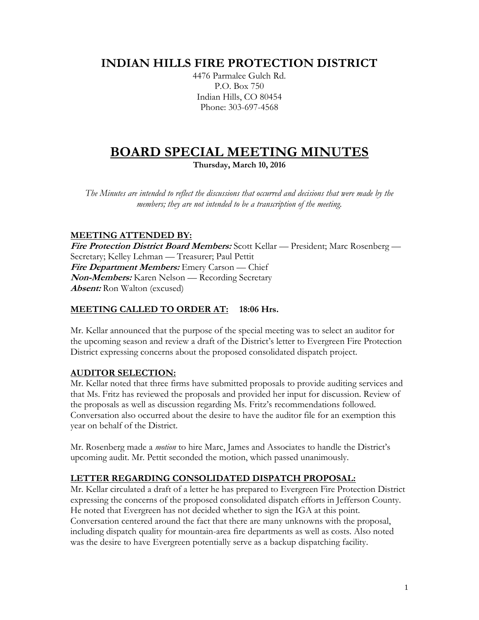## **INDIAN HILLS FIRE PROTECTION DISTRICT**

4476 Parmalee Gulch Rd. P.O. Box 750 Indian Hills, CO 80454 Phone: 303-697-4568

# **BOARD SPECIAL MEETING MINUTES**

**Thursday, March 10, 2016**

*The Minutes are intended to reflect the discussions that occurred and decisions that were made by the members; they are not intended to be a transcription of the meeting.*

### **MEETING ATTENDED BY:**

**Fire Protection District Board Members:** Scott Kellar — President; Marc Rosenberg — Secretary; Kelley Lehman — Treasurer; Paul Pettit **Fire Department Members:** Emery Carson — Chief **Non-Members:** Karen Nelson — Recording Secretary **Absent:** Ron Walton (excused)

### **MEETING CALLED TO ORDER AT: 18:06 Hrs.**

Mr. Kellar announced that the purpose of the special meeting was to select an auditor for the upcoming season and review a draft of the District's letter to Evergreen Fire Protection District expressing concerns about the proposed consolidated dispatch project.

### **AUDITOR SELECTION:**

Mr. Kellar noted that three firms have submitted proposals to provide auditing services and that Ms. Fritz has reviewed the proposals and provided her input for discussion. Review of the proposals as well as discussion regarding Ms. Fritz's recommendations followed. Conversation also occurred about the desire to have the auditor file for an exemption this year on behalf of the District.

Mr. Rosenberg made a *motion* to hire Marc, James and Associates to handle the District's upcoming audit. Mr. Pettit seconded the motion, which passed unanimously.

### **LETTER REGARDING CONSOLIDATED DISPATCH PROPOSAL:**

Mr. Kellar circulated a draft of a letter he has prepared to Evergreen Fire Protection District expressing the concerns of the proposed consolidated dispatch efforts in Jefferson County. He noted that Evergreen has not decided whether to sign the IGA at this point. Conversation centered around the fact that there are many unknowns with the proposal, including dispatch quality for mountain-area fire departments as well as costs. Also noted was the desire to have Evergreen potentially serve as a backup dispatching facility.